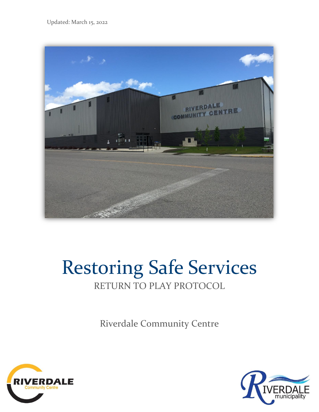Updated: March 15, 2022



# Restoring Safe Services RETURN TO PLAY PROTOCOL

Riverdale Community Centre



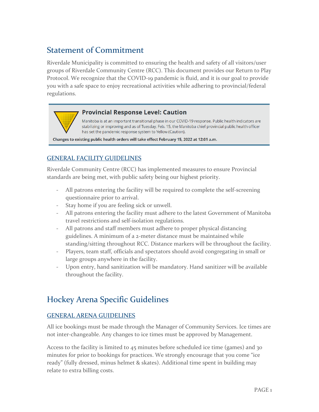# Statement of Commitment

Riverdale Municipality is committed to ensuring the health and safety of all visitors/user groups of Riverdale Community Centre (RCC). This document provides our Return to Play Protocol. We recognize that the COVID-19 pandemic is fluid, and it is our goal to provide you with a safe space to enjoy recreational activities while adhering to provincial/federal regulations.

#### **Provincial Response Level: Caution**

Manitoba is at an important transitional phase in our COVID-19 response. Public health indicators are stabilizing or improving and as of Tuesday, Feb. 15, the Manitoba chief provincial public health officer has set the pandemic response system to Yellow (Caution).

Changes to existing public health orders will take effect February 15, 2022 at 12:01 a.m.

#### GENERAL FACILITY GUIDELINES

Riverdale Community Centre (RCC) has implemented measures to ensure Provincial standards are being met, with public safety being our highest priority.

- All patrons entering the facility will be required to complete the self-screening questionnaire prior to arrival.
- Stay home if you are feeling sick or unwell.
- All patrons entering the facility must adhere to the latest Government of Manitoba travel restrictions and self-isolation regulations.
- All patrons and staff members must adhere to proper physical distancing guidelines. A minimum of a 2-meter distance must be maintained while standing/sitting throughout RCC. Distance markers will be throughout the facility.
- Players, team staff, officials and spectators should avoid congregating in small or large groups anywhere in the facility.
- Upon entry, hand sanitization will be mandatory. Hand sanitizer will be available throughout the facility.

## Hockey Arena Specific Guidelines

#### GENERAL ARENA GUIDELINES

All ice bookings must be made through the Manager of Community Services. Ice times are not inter-changeable. Any changes to ice times must be approved by Management.

Access to the facility is limited to 45 minutes before scheduled ice time (games) and 30 minutes for prior to bookings for practices. We strongly encourage that you come "ice ready" (fully dressed, minus helmet & skates). Additional time spent in building may relate to extra billing costs.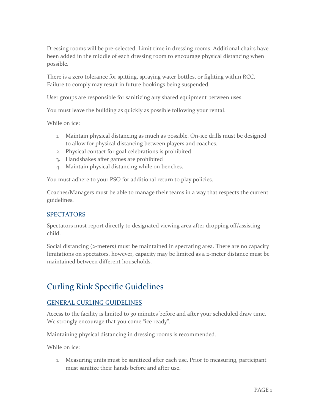Dressing rooms will be pre-selected. Limit time in dressing rooms. Additional chairs have been added in the middle of each dressing room to encourage physical distancing when possible.

There is a zero tolerance for spitting, spraying water bottles, or fighting within RCC. Failure to comply may result in future bookings being suspended.

User groups are responsible for sanitizing any shared equipment between uses.

You must leave the building as quickly as possible following your rental.

While on ice:

- 1. Maintain physical distancing as much as possible. On-ice drills must be designed to allow for physical distancing between players and coaches.
- 2. Physical contact for goal celebrations is prohibited
- 3. Handshakes after games are prohibited
- 4. Maintain physical distancing while on benches.

You must adhere to your PSO for additional return to play policies.

Coaches/Managers must be able to manage their teams in a way that respects the current guidelines.

#### SPECTATORS

Spectators must report directly to designated viewing area after dropping off/assisting child.

Social distancing (2-meters) must be maintained in spectating area. There are no capacity limitations on spectators, however, capacity may be limited as a 2-meter distance must be maintained between different households.

## Curling Rink Specific Guidelines

## GENERAL CURLING GUIDELINES

Access to the facility is limited to 30 minutes before and after your scheduled draw time. We strongly encourage that you come "ice ready".

Maintaining physical distancing in dressing rooms is recommended.

While on ice:

1. Measuring units must be sanitized after each use. Prior to measuring, participant must sanitize their hands before and after use.